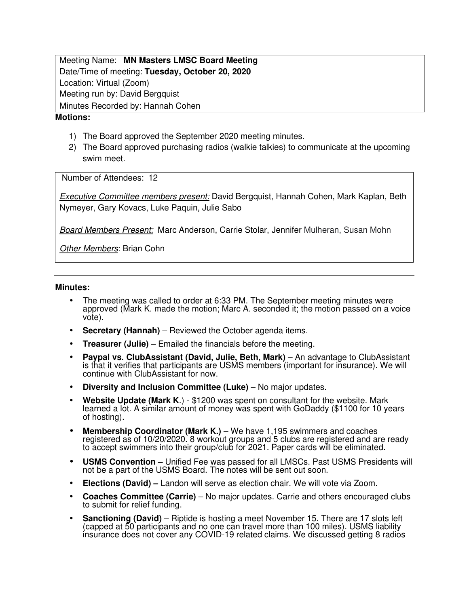Meeting Name: **MN Masters LMSC Board Meeting** Date/Time of meeting: **Tuesday, October 20, 2020**  Location: Virtual (Zoom) Meeting run by: David Bergquist Minutes Recorded by: Hannah Cohen

## **Motions:**

- 1) The Board approved the September 2020 meeting minutes.
- 2) The Board approved purchasing radios (walkie talkies) to communicate at the upcoming swim meet.

Number of Attendees: 12

Executive Committee members present: David Bergquist, Hannah Cohen, Mark Kaplan, Beth Nymeyer, Gary Kovacs, Luke Paquin, Julie Sabo

Board Members Present: Marc Anderson, Carrie Stolar, Jennifer Mulheran, Susan Mohn

Other Members: Brian Cohn

## **Minutes:**

- The meeting was called to order at 6:33 PM. The September meeting minutes were approved (Mark K. made the motion; Marc A. seconded it; the motion passed on a voice vote).
- **Secretary (Hannah)** Reviewed the October agenda items.
- **Treasurer (Julie)** Emailed the financials before the meeting.
- **Paypal vs. ClubAssistant (David, Julie, Beth, Mark)** An advantage to ClubAssistant is that it verifies that participants are USMS members (important for insurance). We will continue with ClubAssistant for now.
- **Diversity and Inclusion Committee (Luke)** No major updates.
- **Website Update (Mark K**.) \$1200 was spent on consultant for the website. Mark learned a lot. A similar amount of money was spent with GoDaddy (\$1100 for 10 years of hosting).
- **Membership Coordinator (Mark K.)** We have 1,195 swimmers and coaches registered as of 10/20/2020. 8 workout groups and 5 clubs are registered and are ready to accept swimmers into their group/club for 2021. Paper cards will be eliminated.
- **USMS Convention –** Unified Fee was passed for all LMSCs. Past USMS Presidents will not be a part of the USMS Board. The notes will be sent out soon.
- **Elections (David) –** Landon will serve as election chair. We will vote via Zoom.
- **Coaches Committee (Carrie)**  No major updates. Carrie and others encouraged clubs to submit for relief funding.
- **Sanctioning (David)**  Riptide is hosting a meet November 15. There are 17 slots left (capped at 50 participants and no one can travel more than 100 miles). USMS liability insurance does not cover any COVID-19 related claims. We discussed getting 8 radios